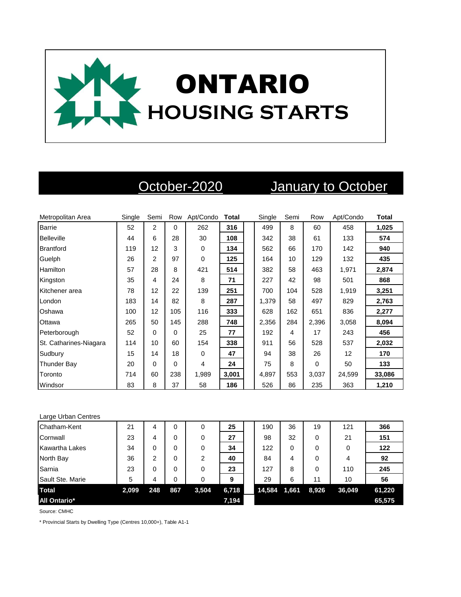

# October-2020 January to October

| Metropolitan Area      | Single | Semi           | Row      | Apt/Condo   | Total | Single | Semi | Row      | Apt/Condo | <b>Total</b> |
|------------------------|--------|----------------|----------|-------------|-------|--------|------|----------|-----------|--------------|
| <b>Barrie</b>          | 52     | $\overline{2}$ | $\Omega$ | 262         | 316   | 499    | 8    | 60       | 458       | 1,025        |
| <b>Belleville</b>      | 44     | 6              | 28       | 30          | 108   | 342    | 38   | 61       | 133       | 574          |
| <b>Brantford</b>       | 119    | 12             | 3        | $\mathbf 0$ | 134   | 562    | 66   | 170      | 142       | 940          |
| Guelph                 | 26     | 2              | 97       | $\mathbf 0$ | 125   | 164    | 10   | 129      | 132       | 435          |
| <b>Hamilton</b>        | 57     | 28             | 8        | 421         | 514   | 382    | 58   | 463      | 1,971     | 2,874        |
| Kingston               | 35     | 4              | 24       | 8           | 71    | 227    | 42   | 98       | 501       | 868          |
| Kitchener area         | 78     | 12             | 22       | 139         | 251   | 700    | 104  | 528      | 1,919     | 3,251        |
| London                 | 183    | 14             | 82       | 8           | 287   | 1,379  | 58   | 497      | 829       | 2,763        |
| Oshawa                 | 100    | 12             | 105      | 116         | 333   | 628    | 162  | 651      | 836       | 2,277        |
| Ottawa                 | 265    | 50             | 145      | 288         | 748   | 2,356  | 284  | 2,396    | 3,058     | 8,094        |
| Peterborough           | 52     | $\Omega$       | $\Omega$ | 25          | 77    | 192    | 4    | 17       | 243       | 456          |
| St. Catharines-Niagara | 114    | 10             | 60       | 154         | 338   | 911    | 56   | 528      | 537       | 2,032        |
| Sudbury                | 15     | 14             | 18       | 0           | 47    | 94     | 38   | 26       | 12        | 170          |
| <b>Thunder Bay</b>     | 20     | $\Omega$       | $\Omega$ | 4           | 24    | 75     | 8    | $\Omega$ | 50        | 133          |
| Toronto                | 714    | 60             | 238      | 1,989       | 3,001 | 4,897  | 553  | 3,037    | 24,599    | 33,086       |
| Windsor                | 83     | 8              | 37       | 58          | 186   | 526    | 86   | 235      | 363       | 1,210        |

### Large Urban Centres

| Chatham-Kent          | 21    | 4   | 0   | 0     | 25    | 190    | 36    | 19    | 121    | 366    |
|-----------------------|-------|-----|-----|-------|-------|--------|-------|-------|--------|--------|
| Cornwall              | 23    | 4   | 0   | 0     | 27    | 98     | 32    | 0     | 21     | 151    |
| <b>Kawartha Lakes</b> | 34    | 0   | 0   | 0     | 34    | 122    | 0     | 0     | 0      | 122    |
| North Bay             | 36    | 2   | 0   | 2     | 40    | 84     | 4     | 0     | 4      | 92     |
| Sarnia                | 23    | 0   | 0   | 0     | 23    | 127    | 8     | 0     | 110    | 245    |
| Sault Ste. Marie      | 5     | 4   | 0   | 0     | 9     | 29     | 6     | 11    | 10     | 56     |
| <b>Total</b>          | 2,099 | 248 | 867 | 3,504 | 6,718 | 14,584 | 1,661 | 8,926 | 36,049 | 61,220 |
| <b>All Ontario*</b>   |       |     |     |       | 7,194 |        |       |       |        | 65,575 |

Source: CMHC

\* Provincial Starts by Dwelling Type (Centres 10,000+), Table A1-1